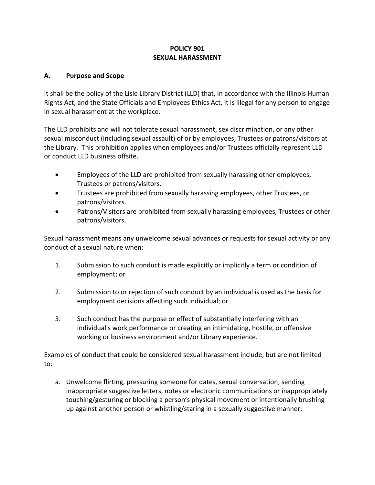# **POLICY 901 SEXUAL HARASSMENT**

## **A. Purpose and Scope**

It shall be the policy of the Lisle Library District (LLD) that, in accordance with the Illinois Human Rights Act, and the State Officials and Employees Ethics Act, it is illegal for any person to engage in sexual harassment at the workplace.

The LLD prohibits and will not tolerate sexual harassment, sex discrimination, or any other sexual misconduct (including sexual assault) of or by employees, Trustees or patrons/visitors at the Library. This prohibition applies when employees and/or Trustees officially represent LLD or conduct LLD business offsite.

- Employees of the LLD are prohibited from sexually harassing other employees, Trustees or patrons/visitors.
- Trustees are prohibited from sexually harassing employees, other Trustees, or patrons/visitors.
- Patrons/Visitors are prohibited from sexually harassing employees, Trustees or other patrons/visitors.

Sexual harassment means any unwelcome sexual advances or requests for sexual activity or any conduct of a sexual nature when:

- 1. Submission to such conduct is made explicitly or implicitly a term or condition of employment; or
- 2. Submission to or rejection of such conduct by an individual is used as the basis for employment decisions affecting such individual; or
- 3. Such conduct has the purpose or effect of substantially interfering with an individual's work performance or creating an intimidating, hostile, or offensive working or business environment and/or Library experience.

Examples of conduct that could be considered sexual harassment include, but are not limited to:

a. Unwelcome flirting, pressuring someone for dates, sexual conversation, sending inappropriate suggestive letters, notes or electronic communications or inappropriately touching/gesturing or blocking a person's physical movement or intentionally brushing up against another person or whistling/staring in a sexually suggestive manner;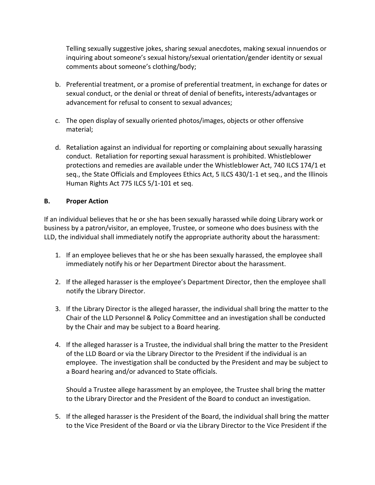Telling sexually suggestive jokes, sharing sexual anecdotes, making sexual innuendos or inquiring about someone's sexual history/sexual orientation/gender identity or sexual comments about someone's clothing/body;

- b. Preferential treatment, or a promise of preferential treatment, in exchange for dates or sexual conduct, or the denial or threat of denial of benefits**,** interests/advantages or advancement for refusal to consent to sexual advances;
- c. The open display of sexually oriented photos/images, objects or other offensive material;
- d. Retaliation against an individual for reporting or complaining about sexually harassing conduct. Retaliation for reporting sexual harassment is prohibited. Whistleblower protections and remedies are available under the Whistleblower Act, 740 ILCS 174/1 et seq., the State Officials and Employees Ethics Act, 5 ILCS 430/1-1 et seq., and the Illinois Human Rights Act 775 ILCS 5/1-101 et seq.

## **B. Proper Action**

If an individual believes that he or she has been sexually harassed while doing Library work or business by a patron/visitor, an employee, Trustee, or someone who does business with the LLD, the individual shall immediately notify the appropriate authority about the harassment:

- 1. If an employee believes that he or she has been sexually harassed, the employee shall immediately notify his or her Department Director about the harassment.
- 2. If the alleged harasser is the employee's Department Director, then the employee shall notify the Library Director.
- 3. If the Library Director is the alleged harasser, the individual shall bring the matter to the Chair of the LLD Personnel & Policy Committee and an investigation shall be conducted by the Chair and may be subject to a Board hearing.
- 4. If the alleged harasser is a Trustee, the individual shall bring the matter to the President of the LLD Board or via the Library Director to the President if the individual is an employee. The investigation shall be conducted by the President and may be subject to a Board hearing and/or advanced to State officials.

Should a Trustee allege harassment by an employee, the Trustee shall bring the matter to the Library Director and the President of the Board to conduct an investigation.

5. If the alleged harasser is the President of the Board, the individual shall bring the matter to the Vice President of the Board or via the Library Director to the Vice President if the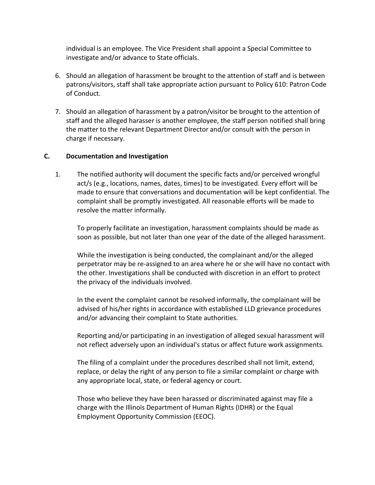individual is an employee. The Vice President shall appoint a Special Committee to investigate and/or advance to State officials.

- 6. Should an allegation of harassment be brought to the attention of staff and is between patrons/visitors, staff shall take appropriate action pursuant to Policy 610: Patron Code of Conduct.
- 7. Should an allegation of harassment by a patron/visitor be brought to the attention of staff and the alleged harasser is another employee, the staff person notified shall bring the matter to the relevant Department Director and/or consult with the person in charge if necessary.

### **C. Documentation and Investigation**

1. The notified authority will document the specific facts and/or perceived wrongful act/s (e.g., locations, names, dates, times) to be investigated. Every effort will be made to ensure that conversations and documentation will be kept confidential. The complaint shall be promptly investigated. All reasonable efforts will be made to resolve the matter informally.

To properly facilitate an investigation, harassment complaints should be made as soon as possible, but not later than one year of the date of the alleged harassment.

While the investigation is being conducted, the complainant and/or the alleged perpetrator may be re-assigned to an area where he or she will have no contact with the other. Investigations shall be conducted with discretion in an effort to protect the privacy of the individuals involved.

In the event the complaint cannot be resolved informally, the complainant will be advised of his/her rights in accordance with established LLD grievance procedures and/or advancing their complaint to State authorities.

Reporting and/or participating in an investigation of alleged sexual harassment will not reflect adversely upon an individual's status or affect future work assignments.

The filing of a complaint under the procedures described shall not limit, extend, replace, or delay the right of any person to file a similar complaint or charge with any appropriate local, state, or federal agency or court.

Those who believe they have been harassed or discriminated against may file a charge with the Illinois Department of Human Rights (IDHR) or the Equal Employment Opportunity Commission (EEOC).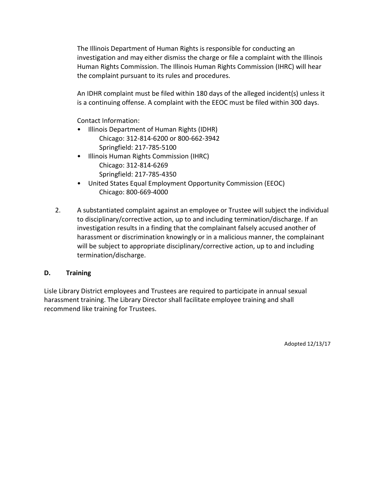The Illinois Department of Human Rights is responsible for conducting an investigation and may either dismiss the charge or file a complaint with the Illinois Human Rights Commission. The Illinois Human Rights Commission (IHRC) will hear the complaint pursuant to its rules and procedures.

An IDHR complaint must be filed within 180 days of the alleged incident(s) unless it is a continuing offense. A complaint with the EEOC must be filed within 300 days.

Contact Information:

- Illinois Department of Human Rights (IDHR) Chicago: 312-814-6200 or 800-662-3942 Springfield: 217-785-5100
- Illinois Human Rights Commission (IHRC) Chicago: 312-814-6269 Springfield: 217-785-4350
- United States Equal Employment Opportunity Commission (EEOC) Chicago: 800-669-4000
- 2. A substantiated complaint against an employee or Trustee will subject the individual to disciplinary/corrective action, up to and including termination/discharge. If an investigation results in a finding that the complainant falsely accused another of harassment or discrimination knowingly or in a malicious manner, the complainant will be subject to appropriate disciplinary/corrective action, up to and including termination/discharge.

## **D. Training**

Lisle Library District employees and Trustees are required to participate in annual sexual harassment training. The Library Director shall facilitate employee training and shall recommend like training for Trustees.

Adopted 12/13/17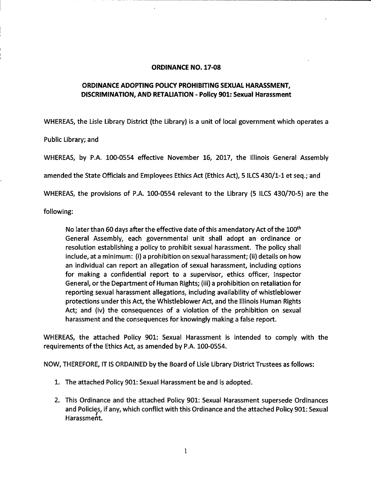#### **ORDINANCE NO. 17-08**

### ORDINANCE ADOPTING POLICY PROHIBITING SEXUAL HARASSMENT. DISCRIMINATION, AND RETALIATION - Policy 901: Sexual Harassment

WHEREAS, the Lisle Library District (the Library) is a unit of local government which operates a

Public Library; and

WHEREAS, by P.A. 100-0554 effective November 16, 2017, the Illinois General Assembly

amended the State Officials and Employees Ethics Act (Ethics Act), 5 ILCS 430/1-1 et seq.; and

WHEREAS, the provisions of P.A. 100-0554 relevant to the Library (5 ILCS 430/70-5) are the

following:

No later than 60 days after the effective date of this amendatory Act of the 100<sup>th</sup> General Assembly, each governmental unit shall adopt an ordinance or resolution establishing a policy to prohibit sexual harassment. The policy shall include, at a minimum: (i) a prohibition on sexual harassment; (ii) details on how an individual can report an allegation of sexual harassment, including options for making a confidential report to a supervisor, ethics officer, Inspector General, or the Department of Human Rights; (iii) a prohibition on retaliation for reporting sexual harassment allegations, including availability of whistleblower protections under this Act, the Whistleblower Act, and the Illinois Human Rights Act; and (iv) the consequences of a violation of the prohibition on sexual harassment and the consequences for knowingly making a false report.

WHEREAS, the attached Policy 901: Sexual Harassment is intended to comply with the requirements of the Ethics Act, as amended by P.A. 100-0554.

NOW, THEREFORE, IT IS ORDAINED by the Board of Lisle Library District Trustees as follows:

- 1. The attached Policy 901: Sexual Harassment be and is adopted.
- 2. This Ordinance and the attached Policy 901: Sexual Harassment supersede Ordinances and Policies, if any, which conflict with this Ordinance and the attached Policy 901: Sexual Harassment.